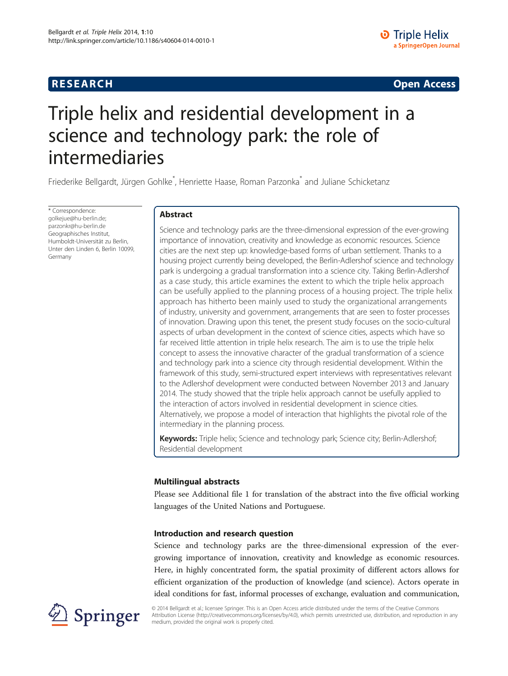**RESEARCH RESEARCH CONSUMING ACCESS** 

# Triple helix and residential development in a science and technology park: the role of intermediaries

Friederike Bellgardt, Jürgen Gohlke<sup>\*</sup>, Henriette Haase, Roman Parzonka<sup>\*</sup> and Juliane Schicketanz

\* Correspondence: [golkejue@hu-berlin.de](mailto:golkejue@hu-berlin.de); [parzonkr@hu-berlin.de](mailto:parzonkr@hu-berlin.de) Geographisches Institut, Humboldt-Universität zu Berlin, Unter den Linden 6, Berlin 10099, Germany

# Abstract

Science and technology parks are the three-dimensional expression of the ever-growing importance of innovation, creativity and knowledge as economic resources. Science cities are the next step up: knowledge-based forms of urban settlement. Thanks to a housing project currently being developed, the Berlin-Adlershof science and technology park is undergoing a gradual transformation into a science city. Taking Berlin-Adlershof as a case study, this article examines the extent to which the triple helix approach can be usefully applied to the planning process of a housing project. The triple helix approach has hitherto been mainly used to study the organizational arrangements of industry, university and government, arrangements that are seen to foster processes of innovation. Drawing upon this tenet, the present study focuses on the socio-cultural aspects of urban development in the context of science cities, aspects which have so far received little attention in triple helix research. The aim is to use the triple helix concept to assess the innovative character of the gradual transformation of a science and technology park into a science city through residential development. Within the framework of this study, semi-structured expert interviews with representatives relevant to the Adlershof development were conducted between November 2013 and January 2014. The study showed that the triple helix approach cannot be usefully applied to the interaction of actors involved in residential development in science cities. Alternatively, we propose a model of interaction that highlights the pivotal role of the intermediary in the planning process.

Keywords: Triple helix; Science and technology park; Science city; Berlin-Adlershof; Residential development

# Multilingual abstracts

Please see Additional file [1](#page-12-0) for translation of the abstract into the five official working languages of the United Nations and Portuguese.

# Introduction and research question

Science and technology parks are the three-dimensional expression of the evergrowing importance of innovation, creativity and knowledge as economic resources. Here, in highly concentrated form, the spatial proximity of different actors allows for efficient organization of the production of knowledge (and science). Actors operate in ideal conditions for fast, informal processes of exchange, evaluation and communication,



© 2014 Bellgardt et al.; licensee Springer. This is an Open Access article distributed under the terms of the Creative Commons Attribution License [\(http://creativecommons.org/licenses/by/4.0\)](http://creativecommons.org/licenses/by/4.0), which permits unrestricted use, distribution, and reproduction in any medium, provided the original work is properly cited.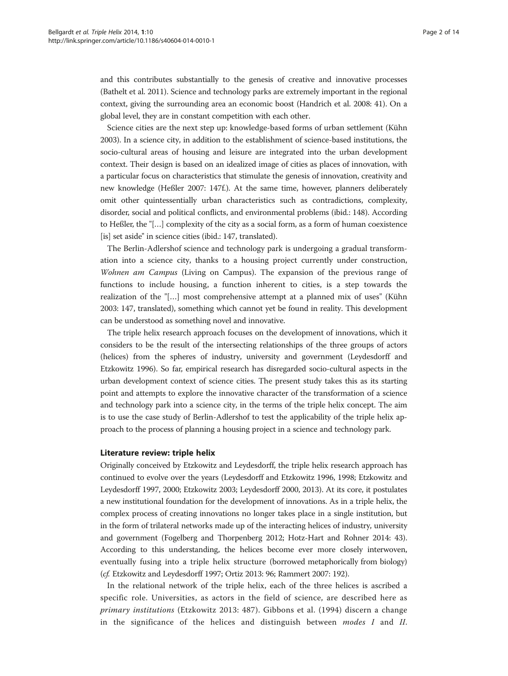and this contributes substantially to the genesis of creative and innovative processes (Bathelt et al. [2011](#page-13-0)). Science and technology parks are extremely important in the regional context, giving the surrounding area an economic boost (Handrich et al. [2008:](#page-13-0) 41). On a global level, they are in constant competition with each other.

Science cities are the next step up: knowledge-based forms of urban settlement (Kühn [2003\)](#page-13-0). In a science city, in addition to the establishment of science-based institutions, the socio-cultural areas of housing and leisure are integrated into the urban development context. Their design is based on an idealized image of cities as places of innovation, with a particular focus on characteristics that stimulate the genesis of innovation, creativity and new knowledge (Heßler [2007](#page-13-0): 147f.). At the same time, however, planners deliberately omit other quintessentially urban characteristics such as contradictions, complexity, disorder, social and political conflicts, and environmental problems (ibid.: 148). According to Heßler, the "[…] complexity of the city as a social form, as a form of human coexistence [is] set aside" in science cities (ibid.: 147, translated).

The Berlin-Adlershof science and technology park is undergoing a gradual transformation into a science city, thanks to a housing project currently under construction, Wohnen am Campus (Living on Campus). The expansion of the previous range of functions to include housing, a function inherent to cities, is a step towards the realization of the "[…] most comprehensive attempt at a planned mix of uses" (Kühn [2003:](#page-13-0) 147, translated), something which cannot yet be found in reality. This development can be understood as something novel and innovative.

The triple helix research approach focuses on the development of innovations, which it considers to be the result of the intersecting relationships of the three groups of actors (helices) from the spheres of industry, university and government (Leydesdorff and Etzkowitz [1996\)](#page-13-0). So far, empirical research has disregarded socio-cultural aspects in the urban development context of science cities. The present study takes this as its starting point and attempts to explore the innovative character of the transformation of a science and technology park into a science city, in the terms of the triple helix concept. The aim is to use the case study of Berlin-Adlershof to test the applicability of the triple helix approach to the process of planning a housing project in a science and technology park.

#### Literature review: triple helix

Originally conceived by Etzkowitz and Leydesdorff, the triple helix research approach has continued to evolve over the years (Leydesdorff and Etzkowitz [1996](#page-13-0), [1998](#page-13-0); Etzkowitz and Leydesdorff [1997](#page-13-0), [2000](#page-13-0); Etzkowitz [2003](#page-13-0); Leydesdorff [2000, 2013](#page-13-0)). At its core, it postulates a new institutional foundation for the development of innovations. As in a triple helix, the complex process of creating innovations no longer takes place in a single institution, but in the form of trilateral networks made up of the interacting helices of industry, university and government (Fogelberg and Thorpenberg [2012](#page-13-0); Hotz-Hart and Rohner [2014](#page-13-0): 43). According to this understanding, the helices become ever more closely interwoven, eventually fusing into a triple helix structure (borrowed metaphorically from biology) (cf. Etzkowitz and Leydesdorff [1997](#page-13-0); Ortiz [2013:](#page-13-0) 96; Rammert [2007](#page-13-0): 192).

In the relational network of the triple helix, each of the three helices is ascribed a specific role. Universities, as actors in the field of science, are described here as primary institutions (Etzkowitz [2013:](#page-13-0) 487). Gibbons et al. ([1994\)](#page-13-0) discern a change in the significance of the helices and distinguish between modes I and II.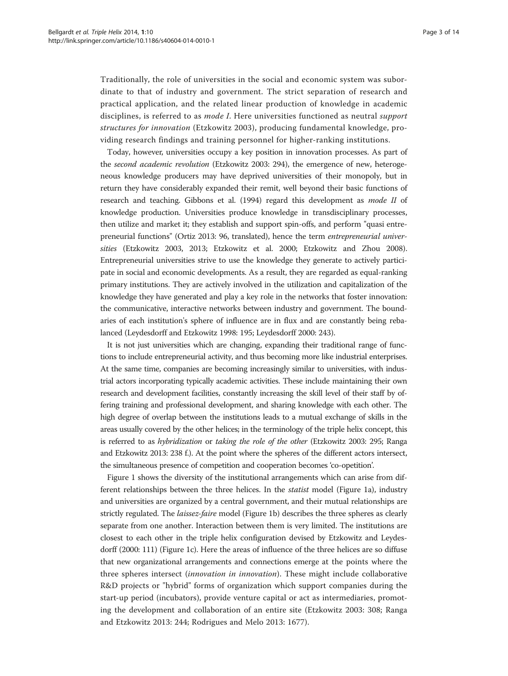Traditionally, the role of universities in the social and economic system was subordinate to that of industry and government. The strict separation of research and practical application, and the related linear production of knowledge in academic disciplines, is referred to as *mode I*. Here universities functioned as neutral *support* structures for innovation (Etzkowitz [2003](#page-13-0)), producing fundamental knowledge, providing research findings and training personnel for higher-ranking institutions.

Today, however, universities occupy a key position in innovation processes. As part of the second academic revolution (Etzkowitz [2003](#page-13-0): 294), the emergence of new, heterogeneous knowledge producers may have deprived universities of their monopoly, but in return they have considerably expanded their remit, well beyond their basic functions of research and teaching. Gibbons et al. ([1994\)](#page-13-0) regard this development as mode II of knowledge production. Universities produce knowledge in transdisciplinary processes, then utilize and market it; they establish and support spin-offs, and perform "quasi entrepreneurial functions" (Ortiz [2013:](#page-13-0) 96, translated), hence the term entrepreneurial universities (Etzkowitz [2003, 2013](#page-13-0); Etzkowitz et al. [2000;](#page-13-0) Etzkowitz and Zhou [2008](#page-13-0)). Entrepreneurial universities strive to use the knowledge they generate to actively participate in social and economic developments. As a result, they are regarded as equal-ranking primary institutions. They are actively involved in the utilization and capitalization of the knowledge they have generated and play a key role in the networks that foster innovation: the communicative, interactive networks between industry and government. The boundaries of each institution's sphere of influence are in flux and are constantly being rebalanced (Leydesdorff and Etzkowitz [1998:](#page-13-0) 195; Leydesdorff [2000:](#page-13-0) 243).

It is not just universities which are changing, expanding their traditional range of functions to include entrepreneurial activity, and thus becoming more like industrial enterprises. At the same time, companies are becoming increasingly similar to universities, with industrial actors incorporating typically academic activities. These include maintaining their own research and development facilities, constantly increasing the skill level of their staff by offering training and professional development, and sharing knowledge with each other. The high degree of overlap between the institutions leads to a mutual exchange of skills in the areas usually covered by the other helices; in the terminology of the triple helix concept, this is referred to as *hybridization* or taking the role of the other (Etzkowitz [2003:](#page-13-0) 295; Ranga and Etzkowitz [2013:](#page-13-0) 238 f.). At the point where the spheres of the different actors intersect, the simultaneous presence of competition and cooperation becomes 'co-opetition'.

Figure [1](#page-3-0) shows the diversity of the institutional arrangements which can arise from different relationships between the three helices. In the statist model (Figure [1](#page-3-0)a), industry and universities are organized by a central government, and their mutual relationships are strictly regulated. The *laissez-faire* model (Figure [1](#page-3-0)b) describes the three spheres as clearly separate from one another. Interaction between them is very limited. The institutions are closest to each other in the triple helix configuration devised by Etzkowitz and Leydes-dorff ([2000](#page-13-0): [1](#page-3-0)11) (Figure 1c). Here the areas of influence of the three helices are so diffuse that new organizational arrangements and connections emerge at the points where the three spheres intersect (innovation in innovation). These might include collaborative R&D projects or "hybrid" forms of organization which support companies during the start-up period (incubators), provide venture capital or act as intermediaries, promoting the development and collaboration of an entire site (Etzkowitz [2003](#page-13-0): 308; Ranga and Etzkowitz [2013:](#page-13-0) 244; Rodrigues and Melo [2013](#page-13-0): 1677).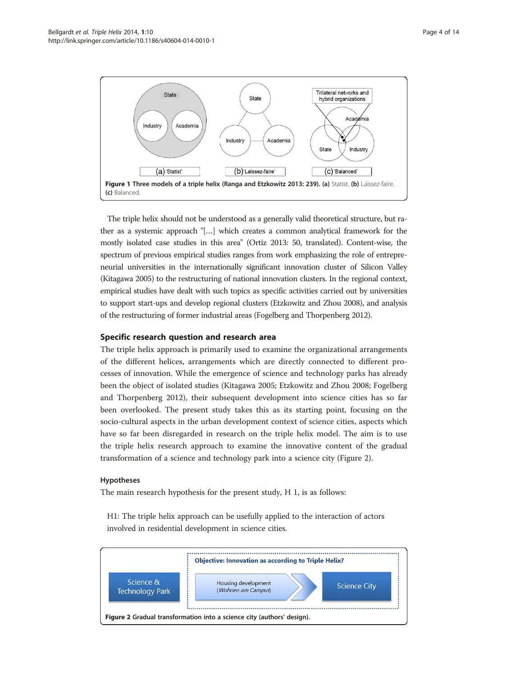<span id="page-3-0"></span>

The triple helix should not be understood as a generally valid theoretical structure, but rather as a systemic approach "[…] which creates a common analytical framework for the mostly isolated case studies in this area" (Ortiz [2013](#page-13-0): 50, translated). Content-wise, the spectrum of previous empirical studies ranges from work emphasizing the role of entrepreneurial universities in the internationally significant innovation cluster of Silicon Valley (Kitagawa [2005\)](#page-13-0) to the restructuring of national innovation clusters. In the regional context, empirical studies have dealt with such topics as specific activities carried out by universities to support start-ups and develop regional clusters (Etzkowitz and Zhou [2008](#page-13-0)), and analysis of the restructuring of former industrial areas (Fogelberg and Thorpenberg [2012\)](#page-13-0).

# Specific research question and research area

The triple helix approach is primarily used to examine the organizational arrangements of the different helices, arrangements which are directly connected to different processes of innovation. While the emergence of science and technology parks has already been the object of isolated studies (Kitagawa [2005](#page-13-0); Etzkowitz and Zhou [2008;](#page-13-0) Fogelberg and Thorpenberg [2012\)](#page-13-0), their subsequent development into science cities has so far been overlooked. The present study takes this as its starting point, focusing on the socio-cultural aspects in the urban development context of science cities, aspects which have so far been disregarded in research on the triple helix model. The aim is to use the triple helix research approach to examine the innovative content of the gradual transformation of a science and technology park into a science city (Figure 2).

#### Hypotheses

The main research hypothesis for the present study, H 1, is as follows:

H1: The triple helix approach can be usefully applied to the interaction of actors involved in residential development in science cities.

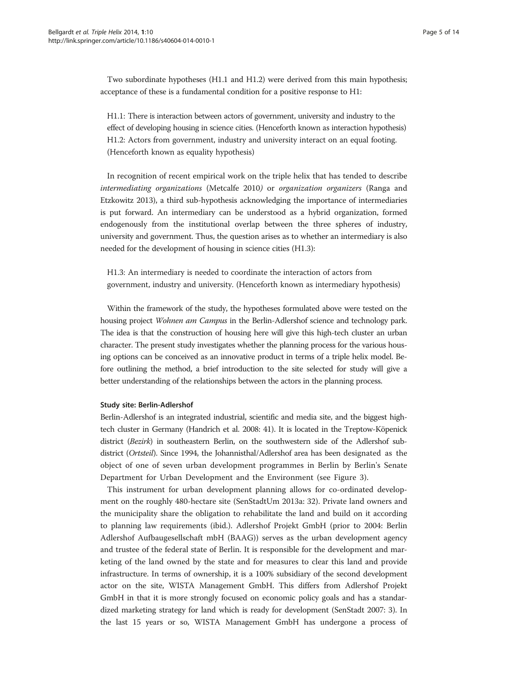Two subordinate hypotheses (H1.1 and H1.2) were derived from this main hypothesis; acceptance of these is a fundamental condition for a positive response to H1:

H1.1: There is interaction between actors of government, university and industry to the effect of developing housing in science cities. (Henceforth known as interaction hypothesis) H1.2: Actors from government, industry and university interact on an equal footing. (Henceforth known as equality hypothesis)

In recognition of recent empirical work on the triple helix that has tended to describe intermediating organizations (Metcalfe [2010](#page-13-0)) or organization organizers (Ranga and Etzkowitz [2013](#page-13-0)), a third sub-hypothesis acknowledging the importance of intermediaries is put forward. An intermediary can be understood as a hybrid organization, formed endogenously from the institutional overlap between the three spheres of industry, university and government. Thus, the question arises as to whether an intermediary is also needed for the development of housing in science cities (H1.3):

H1.3: An intermediary is needed to coordinate the interaction of actors from government, industry and university. (Henceforth known as intermediary hypothesis)

Within the framework of the study, the hypotheses formulated above were tested on the housing project Wohnen am Campus in the Berlin-Adlershof science and technology park. The idea is that the construction of housing here will give this high-tech cluster an urban character. The present study investigates whether the planning process for the various housing options can be conceived as an innovative product in terms of a triple helix model. Before outlining the method, a brief introduction to the site selected for study will give a better understanding of the relationships between the actors in the planning process.

#### Study site: Berlin-Adlershof

Berlin-Adlershof is an integrated industrial, scientific and media site, and the biggest hightech cluster in Germany (Handrich et al. [2008](#page-13-0): 41). It is located in the Treptow-Köpenick district (Bezirk) in southeastern Berlin, on the southwestern side of the Adlershof subdistrict (Ortsteil). Since 1994, the Johannisthal/Adlershof area has been designated as the object of one of seven urban development programmes in Berlin by Berlin's Senate Department for Urban Development and the Environment (see Figure [3\)](#page-5-0).

This instrument for urban development planning allows for co-ordinated development on the roughly 480-hectare site (SenStadtUm [2013a](#page-13-0): 32). Private land owners and the municipality share the obligation to rehabilitate the land and build on it according to planning law requirements (ibid.). Adlershof Projekt GmbH (prior to 2004: Berlin Adlershof Aufbaugesellschaft mbH (BAAG)) serves as the urban development agency and trustee of the federal state of Berlin. It is responsible for the development and marketing of the land owned by the state and for measures to clear this land and provide infrastructure. In terms of ownership, it is a 100% subsidiary of the second development actor on the site, WISTA Management GmbH. This differs from Adlershof Projekt GmbH in that it is more strongly focused on economic policy goals and has a standardized marketing strategy for land which is ready for development (SenStadt [2007:](#page-13-0) 3). In the last 15 years or so, WISTA Management GmbH has undergone a process of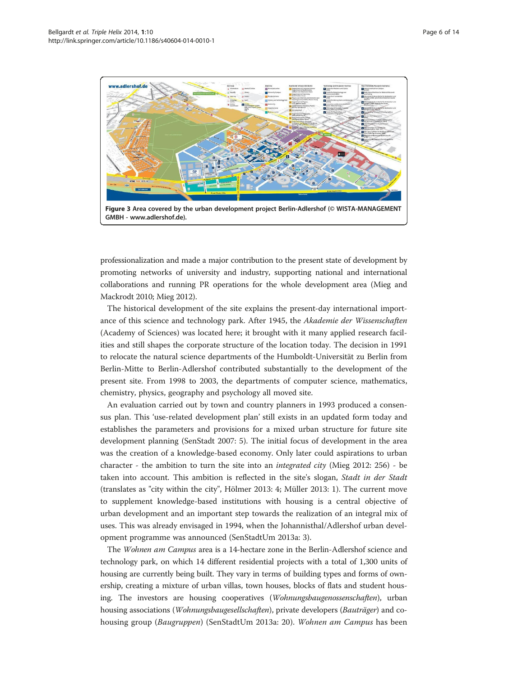<span id="page-5-0"></span>

professionalization and made a major contribution to the present state of development by promoting networks of university and industry, supporting national and international collaborations and running PR operations for the whole development area (Mieg and Mackrodt [2010;](#page-13-0) Mieg [2012\)](#page-13-0).

The historical development of the site explains the present-day international importance of this science and technology park. After 1945, the Akademie der Wissenschaften (Academy of Sciences) was located here; it brought with it many applied research facilities and still shapes the corporate structure of the location today. The decision in 1991 to relocate the natural science departments of the Humboldt-Universität zu Berlin from Berlin-Mitte to Berlin-Adlershof contributed substantially to the development of the present site. From 1998 to 2003, the departments of computer science, mathematics, chemistry, physics, geography and psychology all moved site.

An evaluation carried out by town and country planners in 1993 produced a consensus plan. This 'use-related development plan' still exists in an updated form today and establishes the parameters and provisions for a mixed urban structure for future site development planning (SenStadt [2007:](#page-13-0) 5). The initial focus of development in the area was the creation of a knowledge-based economy. Only later could aspirations to urban character - the ambition to turn the site into an integrated city (Mieg [2012](#page-13-0): 256) - be taken into account. This ambition is reflected in the site's slogan, Stadt in der Stadt (translates as "city within the city", Hölmer [2013:](#page-13-0) 4; Müller [2013:](#page-13-0) 1). The current move to supplement knowledge-based institutions with housing is a central objective of urban development and an important step towards the realization of an integral mix of uses. This was already envisaged in 1994, when the Johannisthal/Adlershof urban development programme was announced (SenStadtUm [2013a](#page-13-0): 3).

The Wohnen am Campus area is a 14-hectare zone in the Berlin-Adlershof science and technology park, on which 14 different residential projects with a total of 1,300 units of housing are currently being built. They vary in terms of building types and forms of ownership, creating a mixture of urban villas, town houses, blocks of flats and student housing. The investors are housing cooperatives (Wohnungsbaugenossenschaften), urban housing associations (Wohnungsbaugesellschaften), private developers (Bauträger) and cohousing group (Baugruppen) (SenStadtUm [2013a:](#page-13-0) 20). Wohnen am Campus has been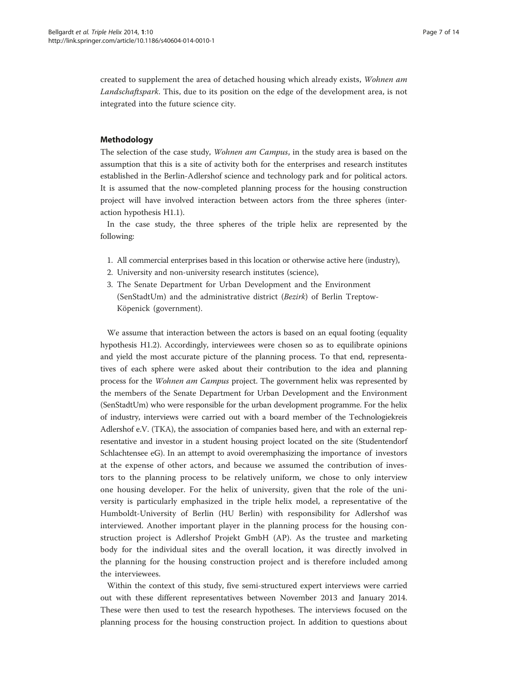created to supplement the area of detached housing which already exists, Wohnen am Landschaftspark. This, due to its position on the edge of the development area, is not integrated into the future science city.

### Methodology

The selection of the case study, Wohnen am Campus, in the study area is based on the assumption that this is a site of activity both for the enterprises and research institutes established in the Berlin-Adlershof science and technology park and for political actors. It is assumed that the now-completed planning process for the housing construction project will have involved interaction between actors from the three spheres (interaction hypothesis H1.1).

In the case study, the three spheres of the triple helix are represented by the following:

- 1. All commercial enterprises based in this location or otherwise active here (industry),
- 2. University and non-university research institutes (science),
- 3. The Senate Department for Urban Development and the Environment (SenStadtUm) and the administrative district (Bezirk) of Berlin Treptow-Köpenick (government).

We assume that interaction between the actors is based on an equal footing (equality hypothesis H1.2). Accordingly, interviewees were chosen so as to equilibrate opinions and yield the most accurate picture of the planning process. To that end, representatives of each sphere were asked about their contribution to the idea and planning process for the Wohnen am Campus project. The government helix was represented by the members of the Senate Department for Urban Development and the Environment (SenStadtUm) who were responsible for the urban development programme. For the helix of industry, interviews were carried out with a board member of the Technologiekreis Adlershof e.V. (TKA), the association of companies based here, and with an external representative and investor in a student housing project located on the site (Studentendorf Schlachtensee eG). In an attempt to avoid overemphasizing the importance of investors at the expense of other actors, and because we assumed the contribution of investors to the planning process to be relatively uniform, we chose to only interview one housing developer. For the helix of university, given that the role of the university is particularly emphasized in the triple helix model, a representative of the Humboldt-University of Berlin (HU Berlin) with responsibility for Adlershof was interviewed. Another important player in the planning process for the housing construction project is Adlershof Projekt GmbH (AP). As the trustee and marketing body for the individual sites and the overall location, it was directly involved in the planning for the housing construction project and is therefore included among the interviewees.

Within the context of this study, five semi-structured expert interviews were carried out with these different representatives between November 2013 and January 2014. These were then used to test the research hypotheses. The interviews focused on the planning process for the housing construction project. In addition to questions about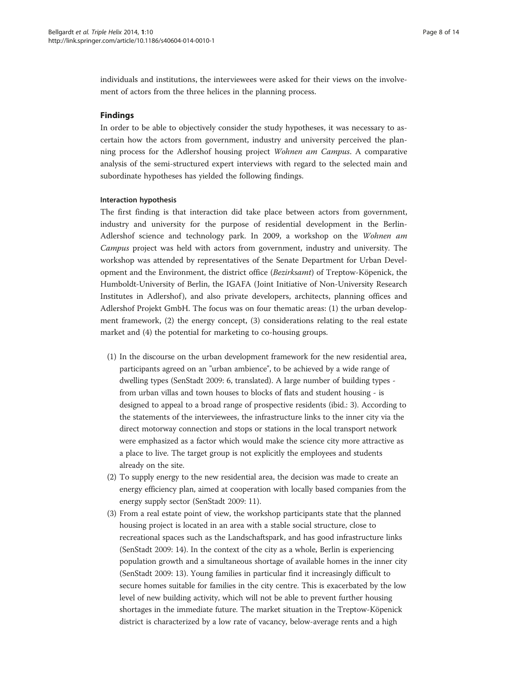individuals and institutions, the interviewees were asked for their views on the involvement of actors from the three helices in the planning process.

### Findings

In order to be able to objectively consider the study hypotheses, it was necessary to ascertain how the actors from government, industry and university perceived the planning process for the Adlershof housing project Wohnen am Campus. A comparative analysis of the semi-structured expert interviews with regard to the selected main and subordinate hypotheses has yielded the following findings.

#### Interaction hypothesis

The first finding is that interaction did take place between actors from government, industry and university for the purpose of residential development in the Berlin-Adlershof science and technology park. In 2009, a workshop on the Wohnen am Campus project was held with actors from government, industry and university. The workshop was attended by representatives of the Senate Department for Urban Development and the Environment, the district office (Bezirksamt) of Treptow-Köpenick, the Humboldt-University of Berlin, the IGAFA (Joint Initiative of Non-University Research Institutes in Adlershof), and also private developers, architects, planning offices and Adlershof Projekt GmbH. The focus was on four thematic areas: (1) the urban development framework, (2) the energy concept, (3) considerations relating to the real estate market and (4) the potential for marketing to co-housing groups.

- (1) In the discourse on the urban development framework for the new residential area, participants agreed on an "urban ambience", to be achieved by a wide range of dwelling types (SenStadt [2009:](#page-13-0) 6, translated). A large number of building types from urban villas and town houses to blocks of flats and student housing - is designed to appeal to a broad range of prospective residents (ibid.: 3). According to the statements of the interviewees, the infrastructure links to the inner city via the direct motorway connection and stops or stations in the local transport network were emphasized as a factor which would make the science city more attractive as a place to live. The target group is not explicitly the employees and students already on the site.
- (2) To supply energy to the new residential area, the decision was made to create an energy efficiency plan, aimed at cooperation with locally based companies from the energy supply sector (SenStadt [2009](#page-13-0): 11).
- (3) From a real estate point of view, the workshop participants state that the planned housing project is located in an area with a stable social structure, close to recreational spaces such as the Landschaftspark, and has good infrastructure links (SenStadt [2009:](#page-13-0) 14). In the context of the city as a whole, Berlin is experiencing population growth and a simultaneous shortage of available homes in the inner city (SenStadt [2009:](#page-13-0) 13). Young families in particular find it increasingly difficult to secure homes suitable for families in the city centre. This is exacerbated by the low level of new building activity, which will not be able to prevent further housing shortages in the immediate future. The market situation in the Treptow-Köpenick district is characterized by a low rate of vacancy, below-average rents and a high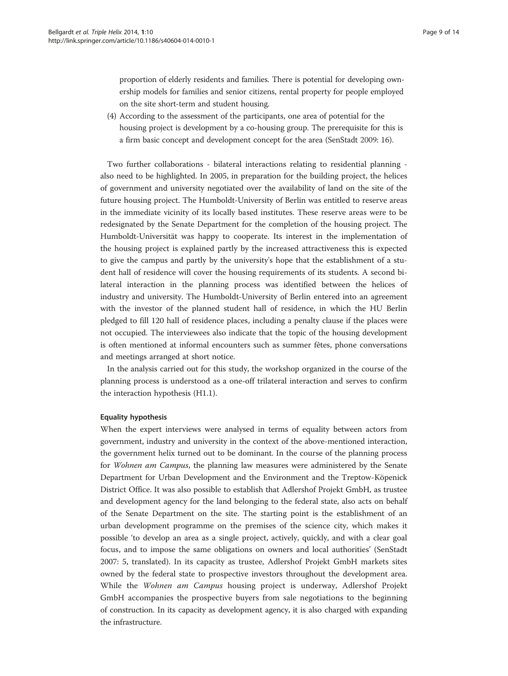proportion of elderly residents and families. There is potential for developing ownership models for families and senior citizens, rental property for people employed on the site short-term and student housing.

(4) According to the assessment of the participants, one area of potential for the housing project is development by a co-housing group. The prerequisite for this is a firm basic concept and development concept for the area (SenStadt [2009:](#page-13-0) 16).

Two further collaborations - bilateral interactions relating to residential planning also need to be highlighted. In 2005, in preparation for the building project, the helices of government and university negotiated over the availability of land on the site of the future housing project. The Humboldt-University of Berlin was entitled to reserve areas in the immediate vicinity of its locally based institutes. These reserve areas were to be redesignated by the Senate Department for the completion of the housing project. The Humboldt-Universität was happy to cooperate. Its interest in the implementation of the housing project is explained partly by the increased attractiveness this is expected to give the campus and partly by the university's hope that the establishment of a student hall of residence will cover the housing requirements of its students. A second bilateral interaction in the planning process was identified between the helices of industry and university. The Humboldt-University of Berlin entered into an agreement with the investor of the planned student hall of residence, in which the HU Berlin pledged to fill 120 hall of residence places, including a penalty clause if the places were not occupied. The interviewees also indicate that the topic of the housing development is often mentioned at informal encounters such as summer fêtes, phone conversations and meetings arranged at short notice.

In the analysis carried out for this study, the workshop organized in the course of the planning process is understood as a one-off trilateral interaction and serves to confirm the interaction hypothesis (H1.1).

#### Equality hypothesis

When the expert interviews were analysed in terms of equality between actors from government, industry and university in the context of the above-mentioned interaction, the government helix turned out to be dominant. In the course of the planning process for Wohnen am Campus, the planning law measures were administered by the Senate Department for Urban Development and the Environment and the Treptow-Köpenick District Office. It was also possible to establish that Adlershof Projekt GmbH, as trustee and development agency for the land belonging to the federal state, also acts on behalf of the Senate Department on the site. The starting point is the establishment of an urban development programme on the premises of the science city, which makes it possible 'to develop an area as a single project, actively, quickly, and with a clear goal focus, and to impose the same obligations on owners and local authorities' (SenStadt [2007](#page-13-0): 5, translated). In its capacity as trustee, Adlershof Projekt GmbH markets sites owned by the federal state to prospective investors throughout the development area. While the Wohnen am Campus housing project is underway, Adlershof Projekt GmbH accompanies the prospective buyers from sale negotiations to the beginning of construction. In its capacity as development agency, it is also charged with expanding the infrastructure.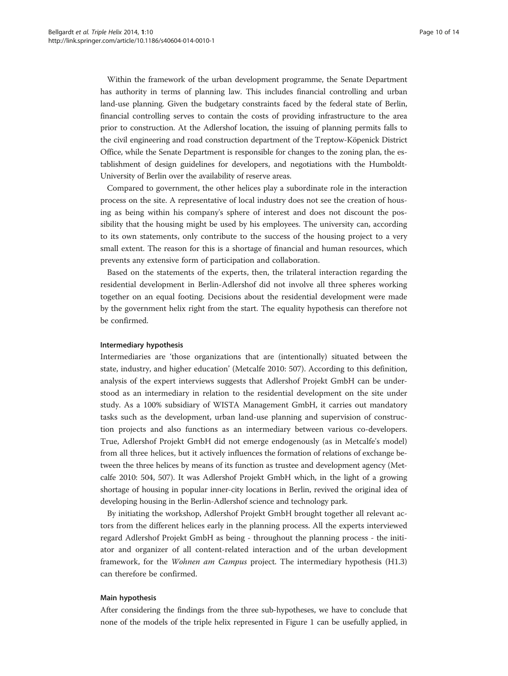Within the framework of the urban development programme, the Senate Department has authority in terms of planning law. This includes financial controlling and urban land-use planning. Given the budgetary constraints faced by the federal state of Berlin, financial controlling serves to contain the costs of providing infrastructure to the area prior to construction. At the Adlershof location, the issuing of planning permits falls to the civil engineering and road construction department of the Treptow-Köpenick District Office, while the Senate Department is responsible for changes to the zoning plan, the establishment of design guidelines for developers, and negotiations with the Humboldt-University of Berlin over the availability of reserve areas.

Compared to government, the other helices play a subordinate role in the interaction process on the site. A representative of local industry does not see the creation of housing as being within his company's sphere of interest and does not discount the possibility that the housing might be used by his employees. The university can, according to its own statements, only contribute to the success of the housing project to a very small extent. The reason for this is a shortage of financial and human resources, which prevents any extensive form of participation and collaboration.

Based on the statements of the experts, then, the trilateral interaction regarding the residential development in Berlin-Adlershof did not involve all three spheres working together on an equal footing. Decisions about the residential development were made by the government helix right from the start. The equality hypothesis can therefore not be confirmed.

### Intermediary hypothesis

Intermediaries are 'those organizations that are (intentionally) situated between the state, industry, and higher education' (Metcalfe 2010: 507). According to this definition, analysis of the expert interviews suggests that Adlershof Projekt GmbH can be understood as an intermediary in relation to the residential development on the site under study. As a 100% subsidiary of WISTA Management GmbH, it carries out mandatory tasks such as the development, urban land-use planning and supervision of construction projects and also functions as an intermediary between various co-developers. True, Adlershof Projekt GmbH did not emerge endogenously (as in Metcalfe's model) from all three helices, but it actively influences the formation of relations of exchange between the three helices by means of its function as trustee and development agency (Metcalfe 2010: 504, 507). It was Adlershof Projekt GmbH which, in the light of a growing shortage of housing in popular inner-city locations in Berlin, revived the original idea of developing housing in the Berlin-Adlershof science and technology park.

By initiating the workshop, Adlershof Projekt GmbH brought together all relevant actors from the different helices early in the planning process. All the experts interviewed regard Adlershof Projekt GmbH as being - throughout the planning process - the initiator and organizer of all content-related interaction and of the urban development framework, for the Wohnen am Campus project. The intermediary hypothesis (H1.3) can therefore be confirmed.

#### Main hypothesis

After considering the findings from the three sub-hypotheses, we have to conclude that none of the models of the triple helix represented in Figure [1](#page-3-0) can be usefully applied, in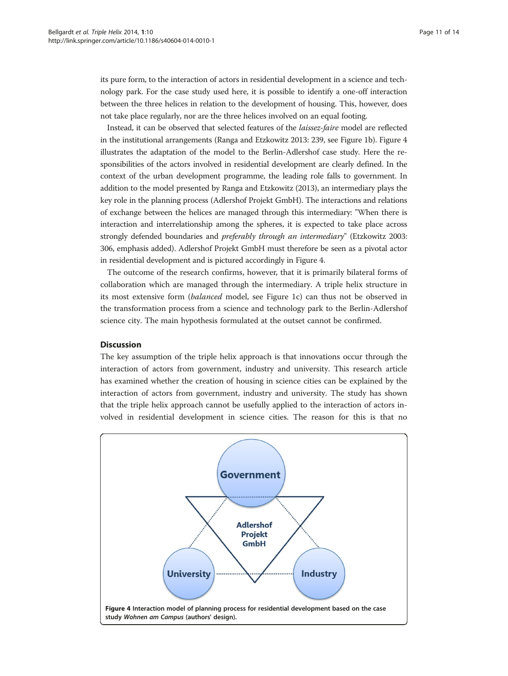<span id="page-10-0"></span>its pure form, to the interaction of actors in residential development in a science and technology park. For the case study used here, it is possible to identify a one-off interaction between the three helices in relation to the development of housing. This, however, does not take place regularly, nor are the three helices involved on an equal footing.

Instead, it can be observed that selected features of the laissez-faire model are reflected in the institutional arrangements (Ranga and Etzkowitz [2013](#page-13-0): 239, see Figure [1](#page-3-0)b). Figure 4 illustrates the adaptation of the model to the Berlin-Adlershof case study. Here the responsibilities of the actors involved in residential development are clearly defined. In the context of the urban development programme, the leading role falls to government. In addition to the model presented by Ranga and Etzkowitz ([2013\)](#page-13-0), an intermediary plays the key role in the planning process (Adlershof Projekt GmbH). The interactions and relations of exchange between the helices are managed through this intermediary: "When there is interaction and interrelationship among the spheres, it is expected to take place across strongly defended boundaries and *preferably through an intermediary*" (Etzkowitz [2003](#page-13-0): 306, emphasis added). Adlershof Projekt GmbH must therefore be seen as a pivotal actor in residential development and is pictured accordingly in Figure 4.

The outcome of the research confirms, however, that it is primarily bilateral forms of collaboration which are managed through the intermediary. A triple helix structure in its most extensive form (balanced model, see Figure [1](#page-3-0)c) can thus not be observed in the transformation process from a science and technology park to the Berlin-Adlershof science city. The main hypothesis formulated at the outset cannot be confirmed.

# **Discussion**

The key assumption of the triple helix approach is that innovations occur through the interaction of actors from government, industry and university. This research article has examined whether the creation of housing in science cities can be explained by the interaction of actors from government, industry and university. The study has shown that the triple helix approach cannot be usefully applied to the interaction of actors involved in residential development in science cities. The reason for this is that no

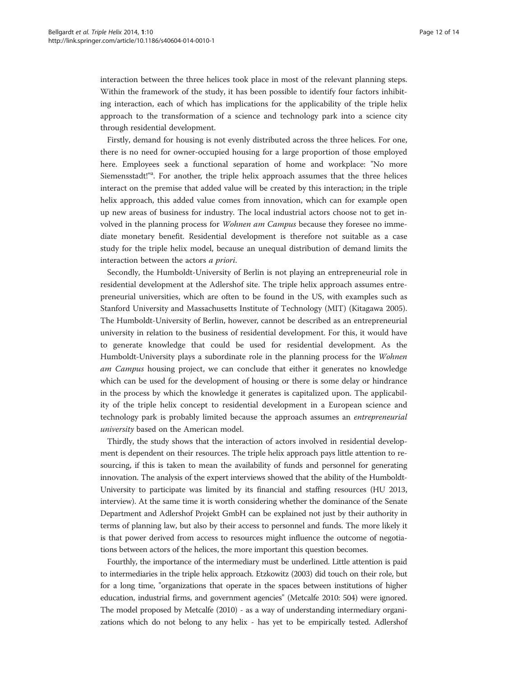interaction between the three helices took place in most of the relevant planning steps. Within the framework of the study, it has been possible to identify four factors inhibiting interaction, each of which has implications for the applicability of the triple helix approach to the transformation of a science and technology park into a science city through residential development.

Firstly, demand for housing is not evenly distributed across the three helices. For one, there is no need for owner-occupied housing for a large proportion of those employed here. Employees seek a functional separation of home and workplace: "No more Siemensstadt!"<sup>a</sup>. For another, the triple helix approach assumes that the three helices interact on the premise that added value will be created by this interaction; in the triple helix approach, this added value comes from innovation, which can for example open up new areas of business for industry. The local industrial actors choose not to get involved in the planning process for *Wohnen am Campus* because they foresee no immediate monetary benefit. Residential development is therefore not suitable as a case study for the triple helix model, because an unequal distribution of demand limits the interaction between the actors a priori.

Secondly, the Humboldt-University of Berlin is not playing an entrepreneurial role in residential development at the Adlershof site. The triple helix approach assumes entrepreneurial universities, which are often to be found in the US, with examples such as Stanford University and Massachusetts Institute of Technology (MIT) (Kitagawa [2005](#page-13-0)). The Humboldt-University of Berlin, however, cannot be described as an entrepreneurial university in relation to the business of residential development. For this, it would have to generate knowledge that could be used for residential development. As the Humboldt-University plays a subordinate role in the planning process for the Wohnen am Campus housing project, we can conclude that either it generates no knowledge which can be used for the development of housing or there is some delay or hindrance in the process by which the knowledge it generates is capitalized upon. The applicability of the triple helix concept to residential development in a European science and technology park is probably limited because the approach assumes an entrepreneurial university based on the American model.

Thirdly, the study shows that the interaction of actors involved in residential development is dependent on their resources. The triple helix approach pays little attention to resourcing, if this is taken to mean the availability of funds and personnel for generating innovation. The analysis of the expert interviews showed that the ability of the Humboldt-University to participate was limited by its financial and staffing resources (HU [2013](#page-13-0), interview). At the same time it is worth considering whether the dominance of the Senate Department and Adlershof Projekt GmbH can be explained not just by their authority in terms of planning law, but also by their access to personnel and funds. The more likely it is that power derived from access to resources might influence the outcome of negotiations between actors of the helices, the more important this question becomes.

Fourthly, the importance of the intermediary must be underlined. Little attention is paid to intermediaries in the triple helix approach. Etzkowitz [\(2003](#page-13-0)) did touch on their role, but for a long time, "organizations that operate in the spaces between institutions of higher education, industrial firms, and government agencies" (Metcalfe 2010: 504) were ignored. The model proposed by Metcalfe (2010) - as a way of understanding intermediary organizations which do not belong to any helix - has yet to be empirically tested. Adlershof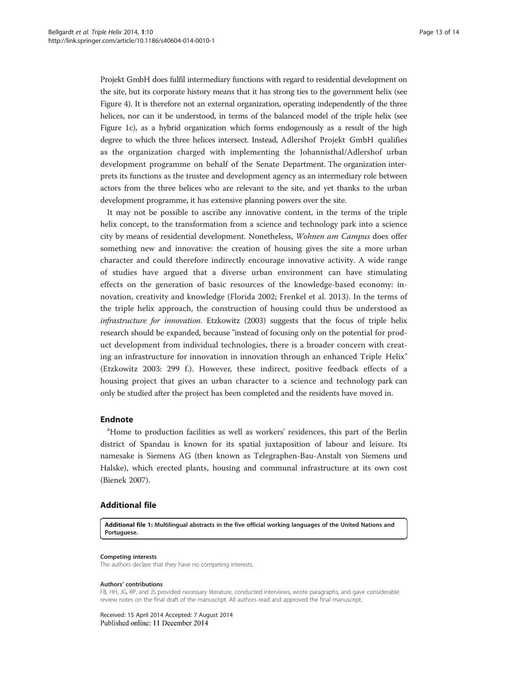<span id="page-12-0"></span>Projekt GmbH does fulfil intermediary functions with regard to residential development on the site, but its corporate history means that it has strong ties to the government helix (see Figure [4](#page-10-0)). It is therefore not an external organization, operating independently of the three helices, nor can it be understood, in terms of the balanced model of the triple helix (see Figure [1c](#page-3-0)), as a hybrid organization which forms endogenously as a result of the high degree to which the three helices intersect. Instead, Adlershof Projekt GmbH qualifies as the organization charged with implementing the Johannisthal/Adlershof urban development programme on behalf of the Senate Department. The organization interprets its functions as the trustee and development agency as an intermediary role between actors from the three helices who are relevant to the site, and yet thanks to the urban development programme, it has extensive planning powers over the site.

It may not be possible to ascribe any innovative content, in the terms of the triple helix concept, to the transformation from a science and technology park into a science city by means of residential development. Nonetheless, Wohnen am Campus does offer something new and innovative: the creation of housing gives the site a more urban character and could therefore indirectly encourage innovative activity. A wide range of studies have argued that a diverse urban environment can have stimulating effects on the generation of basic resources of the knowledge-based economy: innovation, creativity and knowledge (Florida [2002](#page-13-0); Frenkel et al. [2013\)](#page-13-0). In the terms of the triple helix approach, the construction of housing could thus be understood as infrastructure for innovation. Etzkowitz [\(2003\)](#page-13-0) suggests that the focus of triple helix research should be expanded, because "instead of focusing only on the potential for product development from individual technologies, there is a broader concern with creating an infrastructure for innovation in innovation through an enhanced Triple Helix" (Etzkowitz [2003:](#page-13-0) 299 f.). However, these indirect, positive feedback effects of a housing project that gives an urban character to a science and technology park can only be studied after the project has been completed and the residents have moved in.

#### Endnote

<sup>a</sup>Home to production facilities as well as workers' residences, this part of the Berlin district of Spandau is known for its spatial juxtaposition of labour and leisure. Its namesake is Siemens AG (then known as Telegraphen-Bau-Anstalt von Siemens und Halske), which erected plants, housing and communal infrastructure at its own cost (Bienek [2007\)](#page-13-0).

#### Additional file

[Additional file 1:](http://dx.doi.org/10.1186/s40604-014-0010-1) Multilingual abstracts in the five official working languages of the United Nations and Portuguese.

#### Competing interests

The authors declare that they have no competing interests.

#### Authors' contributions

FB, HH, JG, RP, and JS provided necessary literature, conducted interviews, wrote paragraphs, and gave considerable review notes on the final draft of the manuscript. All authors read and approved the final manuscript.

Received: 15 April 2014 Accepted: 7 August 2014 Published online: 11 December 2014